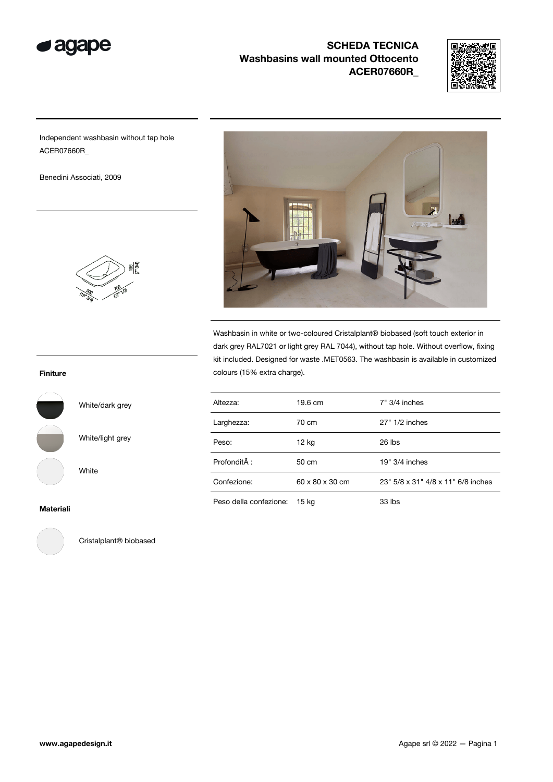



Independent washbasin without tap hole ACER07660R\_

Benedini Associati, 2009



White/dark grey

White/light grey

White



Washbasin in white or two-coloured Cristalplant® biobased (soft touch exterior in dark grey RAL7021 or light grey RAL 7044), without tap hole. Without overflow, fixing kit included. Designed for waste .MET0563. The washbasin is available in customized colours (15% extra charge).

| Altezza:               | $19.6 \text{ cm}$ | $7" 3/4$ inches                    |
|------------------------|-------------------|------------------------------------|
| Larghezza:             | 70 cm             | 27" 1/2 inches                     |
| Peso:                  | 12 kg             | 26 lbs                             |
| Profondità :           | 50 cm             | $19" 3/4$ inches                   |
| Confezione:            | 60 x 80 x 30 cm   | 23" 5/8 x 31" 4/8 x 11" 6/8 inches |
| Peso della confezione: | 15 kg             | 33 lbs                             |

# Finiture



Materiali



Cristalplant® biobased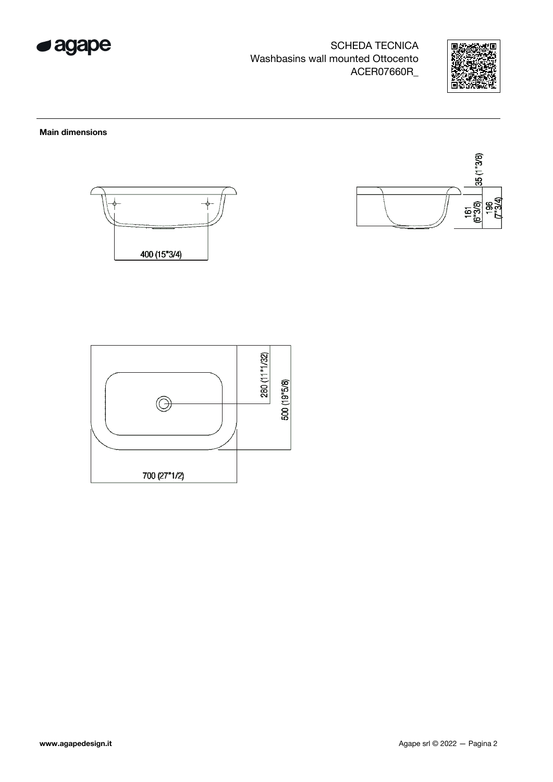



#### **Main dimensions**





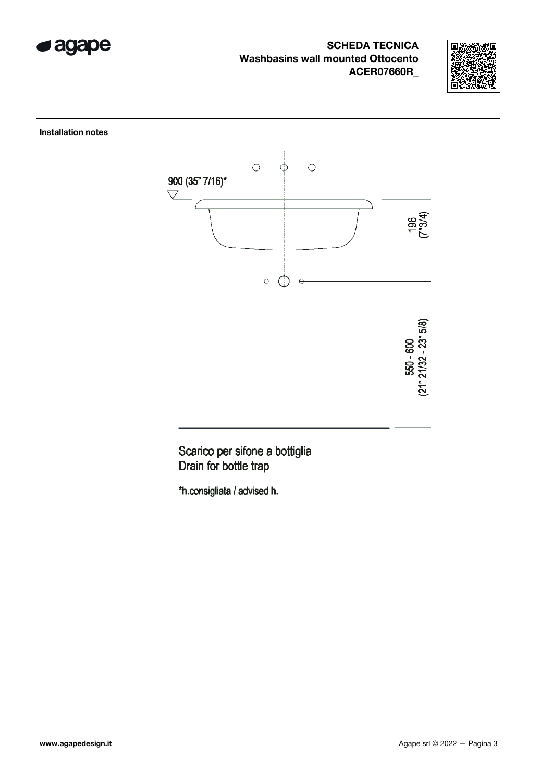



Installation notes



Scarico per sifone a bottiglia Drain for bottle trap

\*h.consigliata / advised h.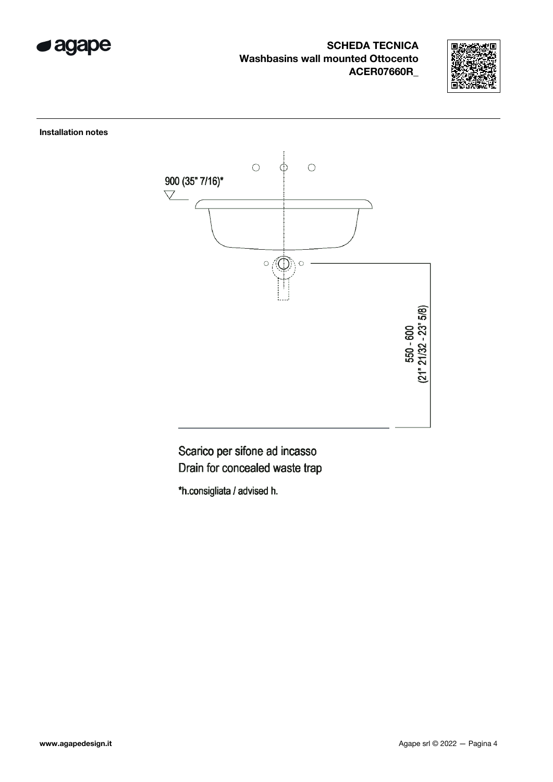



Installation notes



Scarico per sifone ad incasso Drain for concealed waste trap

\*h.consigliata / advised h.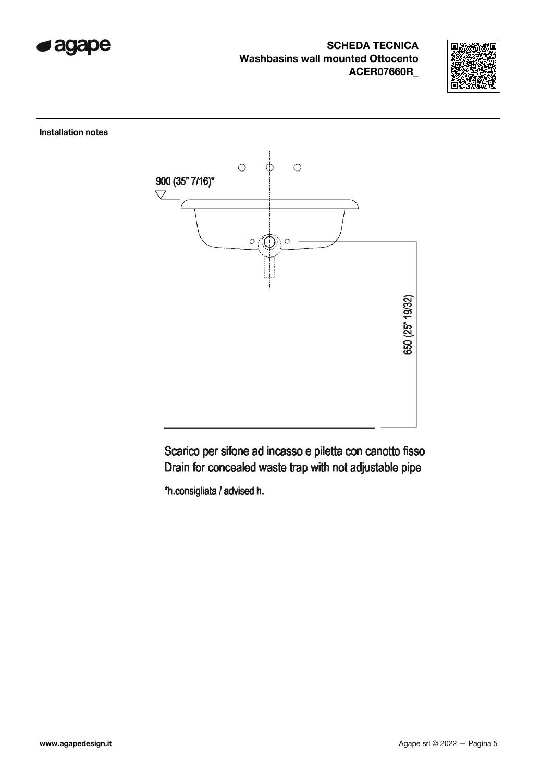



Installation notes



Scarico per sifone ad incasso e piletta con canotto fisso Drain for concealed waste trap with not adjustable pipe

\*h.consigliata / advised h.